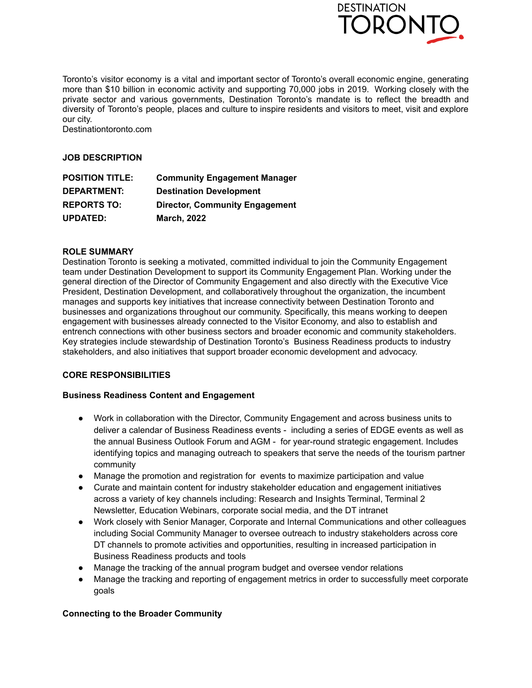

Toronto's visitor economy is a vital and important sector of Toronto's overall economic engine, generating more than \$10 billion in economic activity and supporting 70,000 jobs in 2019. Working closely with the private sector and various governments, Destination Toronto's mandate is to reflect the breadth and diversity of Toronto's people, places and culture to inspire residents and visitors to meet, visit and explore our city.

Destinationtoronto.com

### **JOB DESCRIPTION**

| <b>POSITION TITLE:</b> | <b>Community Engagement Manager</b>   |
|------------------------|---------------------------------------|
| <b>DEPARTMENT:</b>     | <b>Destination Development</b>        |
| <b>REPORTS TO:</b>     | <b>Director, Community Engagement</b> |
| <b>UPDATED:</b>        | <b>March, 2022</b>                    |

## **ROLE SUMMARY**

Destination Toronto is seeking a motivated, committed individual to join the Community Engagement team under Destination Development to support its Community Engagement Plan. Working under the general direction of the Director of Community Engagement and also directly with the Executive Vice President, Destination Development, and collaboratively throughout the organization, the incumbent manages and supports key initiatives that increase connectivity between Destination Toronto and businesses and organizations throughout our community. Specifically, this means working to deepen engagement with businesses already connected to the Visitor Economy, and also to establish and entrench connections with other business sectors and broader economic and community stakeholders. Key strategies include stewardship of Destination Toronto's Business Readiness products to industry stakeholders, and also initiatives that support broader economic development and advocacy.

## **CORE RESPONSIBILITIES**

### **Business Readiness Content and Engagement**

- Work in collaboration with the Director, Community Engagement and across business units to deliver a calendar of Business Readiness events - including a series of EDGE events as well as the annual Business Outlook Forum and AGM - for year-round strategic engagement. Includes identifying topics and managing outreach to speakers that serve the needs of the tourism partner community
- Manage the promotion and registration for events to maximize participation and value
- Curate and maintain content for industry stakeholder education and engagement initiatives across a variety of key channels including: Research and Insights Terminal, Terminal 2 Newsletter, Education Webinars, corporate social media, and the DT intranet
- Work closely with Senior Manager, Corporate and Internal Communications and other colleagues including Social Community Manager to oversee outreach to industry stakeholders across core DT channels to promote activities and opportunities, resulting in increased participation in Business Readiness products and tools
- Manage the tracking of the annual program budget and oversee vendor relations
- Manage the tracking and reporting of engagement metrics in order to successfully meet corporate goals

### **Connecting to the Broader Community**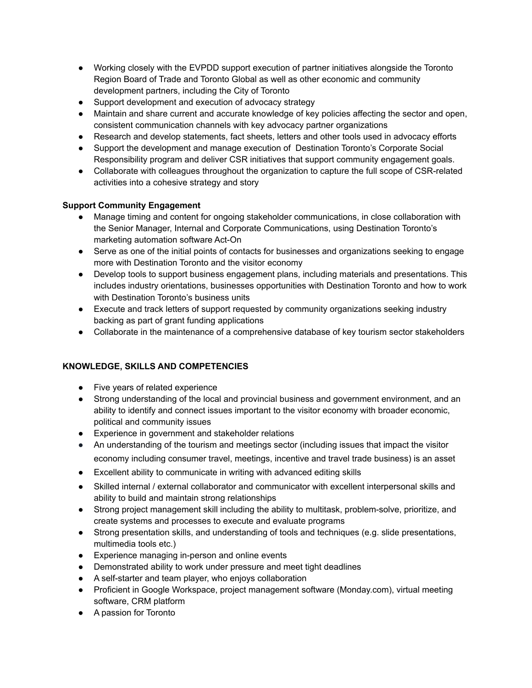- Working closely with the EVPDD support execution of partner initiatives alongside the Toronto Region Board of Trade and Toronto Global as well as other economic and community development partners, including the City of Toronto
- Support development and execution of advocacy strategy
- Maintain and share current and accurate knowledge of key policies affecting the sector and open, consistent communication channels with key advocacy partner organizations
- Research and develop statements, fact sheets, letters and other tools used in advocacy efforts
- Support the development and manage execution of Destination Toronto's Corporate Social Responsibility program and deliver CSR initiatives that support community engagement goals.
- Collaborate with colleagues throughout the organization to capture the full scope of CSR-related activities into a cohesive strategy and story

## **Support Community Engagement**

- Manage timing and content for ongoing stakeholder communications, in close collaboration with the Senior Manager, Internal and Corporate Communications, using Destination Toronto's marketing automation software Act-On
- Serve as one of the initial points of contacts for businesses and organizations seeking to engage more with Destination Toronto and the visitor economy
- Develop tools to support business engagement plans, including materials and presentations. This includes industry orientations, businesses opportunities with Destination Toronto and how to work with Destination Toronto's business units
- Execute and track letters of support requested by community organizations seeking industry backing as part of grant funding applications
- Collaborate in the maintenance of a comprehensive database of key tourism sector stakeholders

# **KNOWLEDGE, SKILLS AND COMPETENCIES**

- Five years of related experience
- Strong understanding of the local and provincial business and government environment, and an ability to identify and connect issues important to the visitor economy with broader economic, political and community issues
- Experience in government and stakeholder relations
- An understanding of the tourism and meetings sector (including issues that impact the visitor economy including consumer travel, meetings, incentive and travel trade business) is an asset
- Excellent ability to communicate in writing with advanced editing skills
- Skilled internal / external collaborator and communicator with excellent interpersonal skills and ability to build and maintain strong relationships
- Strong project management skill including the ability to multitask, problem-solve, prioritize, and create systems and processes to execute and evaluate programs
- Strong presentation skills, and understanding of tools and techniques (e.g. slide presentations, multimedia tools etc.)
- Experience managing in-person and online events
- Demonstrated ability to work under pressure and meet tight deadlines
- A self-starter and team player, who enjoys collaboration
- Proficient in Google Workspace, project management software (Monday.com), virtual meeting software, CRM platform
- A passion for Toronto